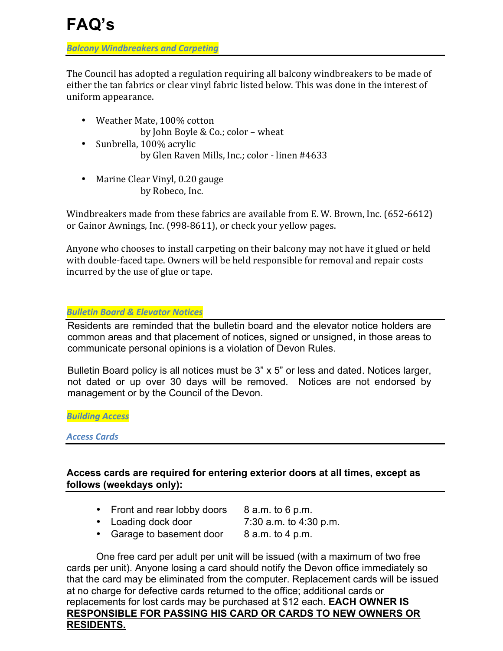*Balcony Windbreakers and Carpeting*

The Council has adopted a regulation requiring all balcony windbreakers to be made of either the tan fabrics or clear vinyl fabric listed below. This was done in the interest of uniform appearance.

- Weather Mate, 100% cotton by John Boyle & Co.; color – wheat
- Sunbrella, 100% acrylic by Glen Raven Mills, Inc.; color - linen #4633
- Marine Clear Vinyl, 0.20 gauge by Robeco, Inc.

Windbreakers made from these fabrics are available from E. W. Brown, Inc.  $(652-6612)$ or Gainor Awnings, Inc. (998-8611), or check your yellow pages.

Anyone who chooses to install carpeting on their balcony may not have it glued or held with double-faced tape. Owners will be held responsible for removal and repair costs incurred by the use of glue or tape.

# *Bulletin Board & Elevator Notices*

Residents are reminded that the bulletin board and the elevator notice holders are common areas and that placement of notices, signed or unsigned, in those areas to communicate personal opinions is a violation of Devon Rules.

Bulletin Board policy is all notices must be 3" x 5" or less and dated. Notices larger, not dated or up over 30 days will be removed. Notices are not endorsed by management or by the Council of the Devon.

*Building Access*

*Access Cards*

# **Access cards are required for entering exterior doors at all times, except as follows (weekdays only):**

- Front and rear lobby doors 8 a.m. to 6 p.m.
	-
- Loading dock door 7:30 a.m. to 4:30 p.m.
- Garage to basement door 8 a.m. to 4 p.m.

One free card per adult per unit will be issued (with a maximum of two free cards per unit). Anyone losing a card should notify the Devon office immediately so that the card may be eliminated from the computer. Replacement cards will be issued at no charge for defective cards returned to the office; additional cards or replacements for lost cards may be purchased at \$12 each. **EACH OWNER IS RESPONSIBLE FOR PASSING HIS CARD OR CARDS TO NEW OWNERS OR RESIDENTS.**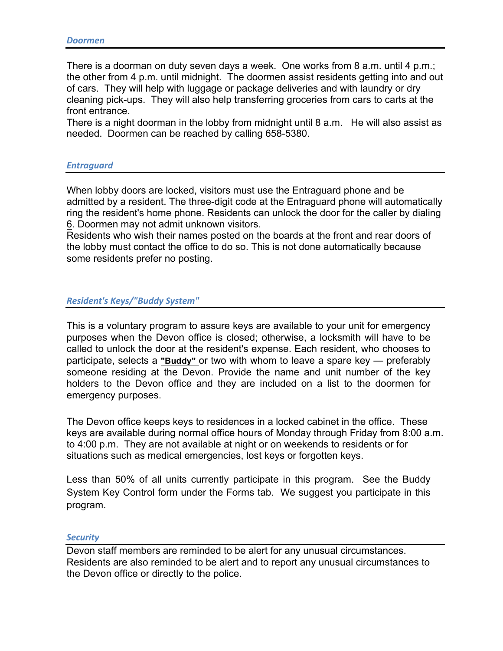There is a doorman on duty seven days a week. One works from 8 a.m. until 4 p.m.; the other from 4 p.m. until midnight. The doormen assist residents getting into and out of cars. They will help with luggage or package deliveries and with laundry or dry cleaning pick-ups. They will also help transferring groceries from cars to carts at the front entrance.

There is a night doorman in the lobby from midnight until 8 a.m. He will also assist as needed. Doormen can be reached by calling 658-5380.

# *Entraguard*

When lobby doors are locked, visitors must use the Entraguard phone and be admitted by a resident. The three-digit code at the Entraguard phone will automatically ring the resident's home phone. Residents can unlock the door for the caller by dialing 6. Doormen may not admit unknown visitors.

Residents who wish their names posted on the boards at the front and rear doors of the lobby must contact the office to do so. This is not done automatically because some residents prefer no posting.

## *Resident's Keys/"Buddy System"*

This is a voluntary program to assure keys are available to your unit for emergency purposes when the Devon office is closed; otherwise, a locksmith will have to be called to unlock the door at the resident's expense. Each resident, who chooses to participate, selects a **"Buddy"** or two with whom to leave a spare key — preferably someone residing at the Devon. Provide the name and unit number of the key holders to the Devon office and they are included on a list to the doormen for emergency purposes.

The Devon office keeps keys to residences in a locked cabinet in the office. These keys are available during normal office hours of Monday through Friday from 8:00 a.m. to 4:00 p.m. They are not available at night or on weekends to residents or for situations such as medical emergencies, lost keys or forgotten keys.

Less than 50% of all units currently participate in this program. See the Buddy System Key Control form under the Forms tab. We suggest you participate in this program.

### *Security*

Devon staff members are reminded to be alert for any unusual circumstances. Residents are also reminded to be alert and to report any unusual circumstances to the Devon office or directly to the police.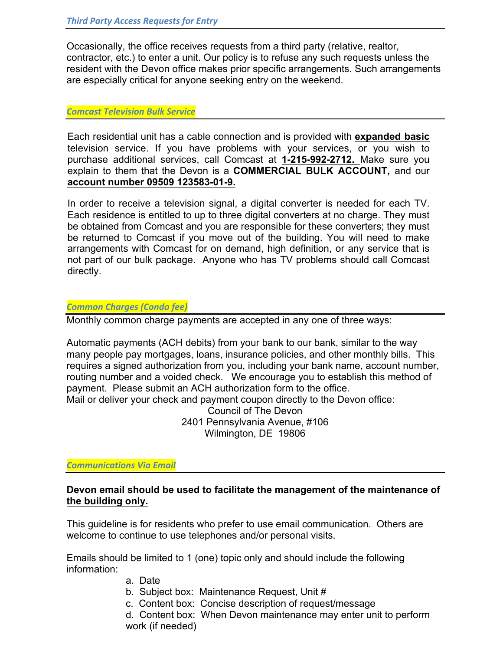Occasionally, the office receives requests from a third party (relative, realtor, contractor, etc.) to enter a unit. Our policy is to refuse any such requests unless the resident with the Devon office makes prior specific arrangements. Such arrangements are especially critical for anyone seeking entry on the weekend.

## *Comcast Television Bulk Service*

Each residential unit has a cable connection and is provided with **expanded basic**  television service. If you have problems with your services, or you wish to purchase additional services, call Comcast at **1-215-992-2712.** Make sure you explain to them that the Devon is a **COMMERCIAL BULK ACCOUNT,** and our **account number 09509 123583-01-9.**

In order to receive a television signal, a digital converter is needed for each TV. Each residence is entitled to up to three digital converters at no charge. They must be obtained from Comcast and you are responsible for these converters; they must be returned to Comcast if you move out of the building. You will need to make arrangements with Comcast for on demand, high definition, or any service that is not part of our bulk package. Anyone who has TV problems should call Comcast directly.

# *Common Charges (Condo fee)*

Monthly common charge payments are accepted in any one of three ways:

Automatic payments (ACH debits) from your bank to our bank, similar to the way many people pay mortgages, loans, insurance policies, and other monthly bills. This requires a signed authorization from you, including your bank name, account number, routing number and a voided check. We encourage you to establish this method of payment. Please submit an ACH authorization form to the office. Mail or deliver your check and payment coupon directly to the Devon office: Council of The Devon 2401 Pennsylvania Avenue, #106

Wilmington, DE 19806

# *Communications Via Email*

# **Devon email should be used to facilitate the management of the maintenance of the building only.**

This guideline is for residents who prefer to use email communication. Others are welcome to continue to use telephones and/or personal visits.

Emails should be limited to 1 (one) topic only and should include the following information:

- a. Date
- b. Subject box: Maintenance Request, Unit #
- c. Content box: Concise description of request/message
- d. Content box: When Devon maintenance may enter unit to perform work (if needed)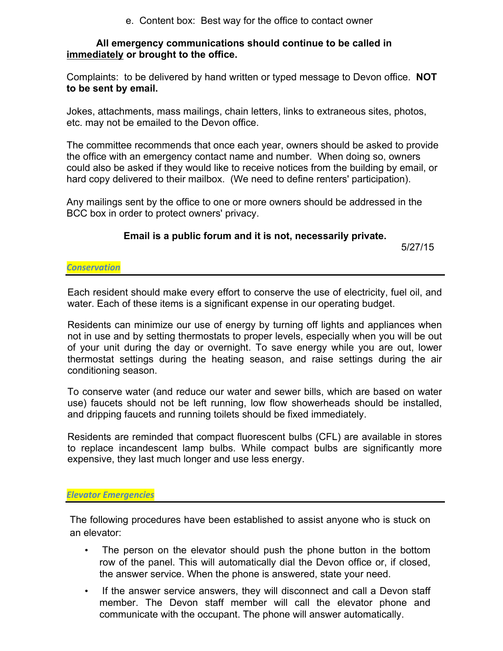e. Content box: Best way for the office to contact owner

# **All emergency communications should continue to be called in immediately or brought to the office.**

Complaints: to be delivered by hand written or typed message to Devon office. **NOT to be sent by email.**

Jokes, attachments, mass mailings, chain letters, links to extraneous sites, photos, etc. may not be emailed to the Devon office.

The committee recommends that once each year, owners should be asked to provide the office with an emergency contact name and number. When doing so, owners could also be asked if they would like to receive notices from the building by email, or hard copy delivered to their mailbox. (We need to define renters' participation).

Any mailings sent by the office to one or more owners should be addressed in the BCC box in order to protect owners' privacy.

# **Email is a public forum and it is not, necessarily private.**

5/27/15

*Conservation*

Each resident should make every effort to conserve the use of electricity, fuel oil, and water. Each of these items is a significant expense in our operating budget.

Residents can minimize our use of energy by turning off lights and appliances when not in use and by setting thermostats to proper levels, especially when you will be out of your unit during the day or overnight. To save energy while you are out, lower thermostat settings during the heating season, and raise settings during the air conditioning season.

To conserve water (and reduce our water and sewer bills, which are based on water use) faucets should not be left running, low flow showerheads should be installed, and dripping faucets and running toilets should be fixed immediately.

Residents are reminded that compact fluorescent bulbs (CFL) are available in stores to replace incandescent lamp bulbs. While compact bulbs are significantly more expensive, they last much longer and use less energy.

# *Elevator Emergencies*

The following procedures have been established to assist anyone who is stuck on an elevator:

- The person on the elevator should push the phone button in the bottom row of the panel. This will automatically dial the Devon office or, if closed, the answer service. When the phone is answered, state your need.
- If the answer service answers, they will disconnect and call a Devon staff member. The Devon staff member will call the elevator phone and communicate with the occupant. The phone will answer automatically.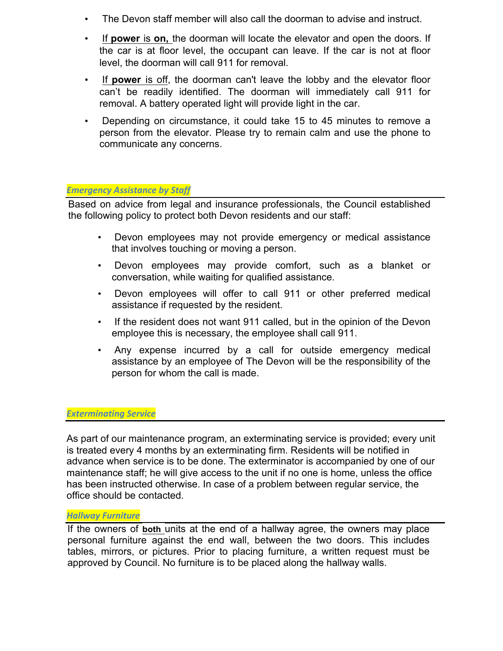- The Devon staff member will also call the doorman to advise and instruct.
- If **power** is **on,** the doorman will locate the elevator and open the doors. If the car is at floor level, the occupant can leave. If the car is not at floor level, the doorman will call 911 for removal.
- If **power** is off, the doorman can't leave the lobby and the elevator floor can't be readily identified. The doorman will immediately call 911 for removal. A battery operated light will provide light in the car.
- Depending on circumstance, it could take 15 to 45 minutes to remove a person from the elevator. Please try to remain calm and use the phone to communicate any concerns.

# *Emergency Assistance by Staff*

Based on advice from legal and insurance professionals, the Council established the following policy to protect both Devon residents and our staff:

- Devon employees may not provide emergency or medical assistance that involves touching or moving a person.
- Devon employees may provide comfort, such as a blanket or conversation, while waiting for qualified assistance.
- Devon employees will offer to call 911 or other preferred medical assistance if requested by the resident.
- If the resident does not want 911 called, but in the opinion of the Devon employee this is necessary, the employee shall call 911.
- Any expense incurred by a call for outside emergency medical assistance by an employee of The Devon will be the responsibility of the person for whom the call is made.

# *Exterminating Service*

As part of our maintenance program, an exterminating service is provided; every unit is treated every 4 months by an exterminating firm. Residents will be notified in advance when service is to be done. The exterminator is accompanied by one of our maintenance staff; he will give access to the unit if no one is home, unless the office has been instructed otherwise. In case of a problem between regular service, the office should be contacted.

# *Hallway Furniture*

If the owners of **both** units at the end of a hallway agree, the owners may place personal furniture against the end wall, between the two doors. This includes tables, mirrors, or pictures. Prior to placing furniture, a written request must be approved by Council. No furniture is to be placed along the hallway walls.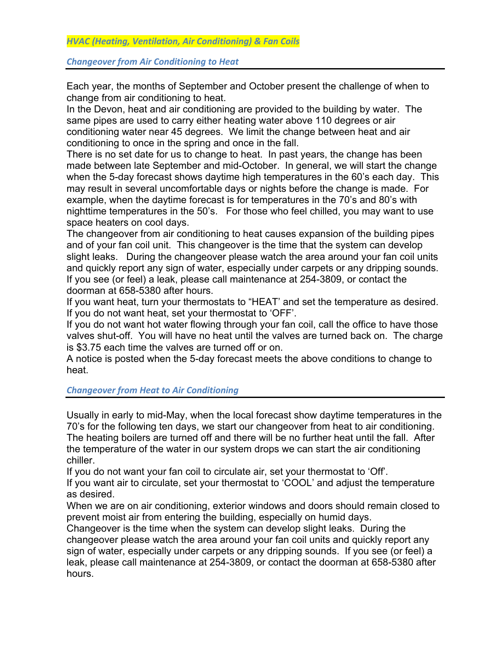**Changeover from Air Conditioning to Heat** 

Each year, the months of September and October present the challenge of when to change from air conditioning to heat.

In the Devon, heat and air conditioning are provided to the building by water. The same pipes are used to carry either heating water above 110 degrees or air conditioning water near 45 degrees. We limit the change between heat and air conditioning to once in the spring and once in the fall.

There is no set date for us to change to heat. In past years, the change has been made between late September and mid-October. In general, we will start the change when the 5-day forecast shows daytime high temperatures in the 60's each day. This may result in several uncomfortable days or nights before the change is made. For example, when the daytime forecast is for temperatures in the 70's and 80's with nighttime temperatures in the 50's. For those who feel chilled, you may want to use space heaters on cool days.

The changeover from air conditioning to heat causes expansion of the building pipes and of your fan coil unit. This changeover is the time that the system can develop slight leaks. During the changeover please watch the area around your fan coil units and quickly report any sign of water, especially under carpets or any dripping sounds. If you see (or feel) a leak, please call maintenance at 254-3809, or contact the doorman at 658-5380 after hours.

If you want heat, turn your thermostats to "HEAT' and set the temperature as desired. If you do not want heat, set your thermostat to 'OFF'.

If you do not want hot water flowing through your fan coil, call the office to have those valves shut-off. You will have no heat until the valves are turned back on. The charge is \$3.75 each time the valves are turned off or on.

A notice is posted when the 5-day forecast meets the above conditions to change to heat.

*Changeover from Heat to Air Conditioning*

Usually in early to mid-May, when the local forecast show daytime temperatures in the 70's for the following ten days, we start our changeover from heat to air conditioning. The heating boilers are turned off and there will be no further heat until the fall. After the temperature of the water in our system drops we can start the air conditioning chiller.

If you do not want your fan coil to circulate air, set your thermostat to 'Off'. If you want air to circulate, set your thermostat to 'COOL' and adjust the temperature as desired.

When we are on air conditioning, exterior windows and doors should remain closed to prevent moist air from entering the building, especially on humid days.

Changeover is the time when the system can develop slight leaks. During the changeover please watch the area around your fan coil units and quickly report any sign of water, especially under carpets or any dripping sounds. If you see (or feel) a leak, please call maintenance at 254-3809, or contact the doorman at 658-5380 after hours.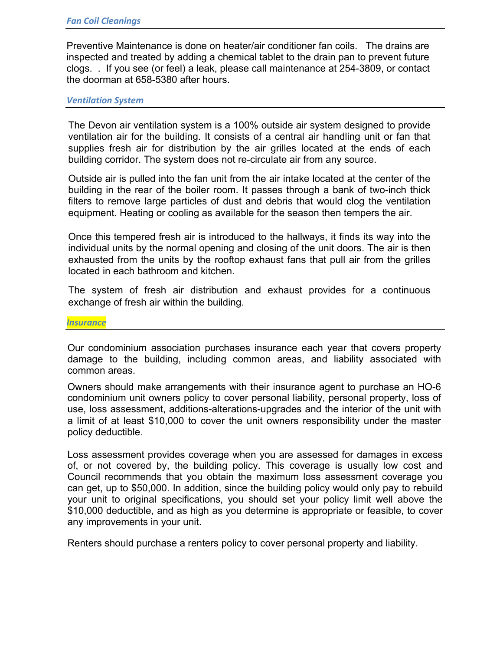Preventive Maintenance is done on heater/air conditioner fan coils. The drains are inspected and treated by adding a chemical tablet to the drain pan to prevent future clogs. . If you see (or feel) a leak, please call maintenance at 254-3809, or contact the doorman at 658-5380 after hours.

### *Ventilation System*

The Devon air ventilation system is a 100% outside air system designed to provide ventilation air for the building. It consists of a central air handling unit or fan that supplies fresh air for distribution by the air grilles located at the ends of each building corridor. The system does not re-circulate air from any source.

Outside air is pulled into the fan unit from the air intake located at the center of the building in the rear of the boiler room. It passes through a bank of two-inch thick filters to remove large particles of dust and debris that would clog the ventilation equipment. Heating or cooling as available for the season then tempers the air.

Once this tempered fresh air is introduced to the hallways, it finds its way into the individual units by the normal opening and closing of the unit doors. The air is then exhausted from the units by the rooftop exhaust fans that pull air from the grilles located in each bathroom and kitchen.

The system of fresh air distribution and exhaust provides for a continuous exchange of fresh air within the building.

*Insurance*

Our condominium association purchases insurance each year that covers property damage to the building, including common areas, and liability associated with common areas.

Owners should make arrangements with their insurance agent to purchase an HO-6 condominium unit owners policy to cover personal liability, personal property, loss of use, loss assessment, additions-alterations-upgrades and the interior of the unit with a limit of at least \$10,000 to cover the unit owners responsibility under the master policy deductible.

Loss assessment provides coverage when you are assessed for damages in excess of, or not covered by, the building policy. This coverage is usually low cost and Council recommends that you obtain the maximum loss assessment coverage you can get, up to \$50,000. In addition, since the building policy would only pay to rebuild your unit to original specifications, you should set your policy limit well above the \$10,000 deductible, and as high as you determine is appropriate or feasible, to cover any improvements in your unit.

Renters should purchase a renters policy to cover personal property and liability.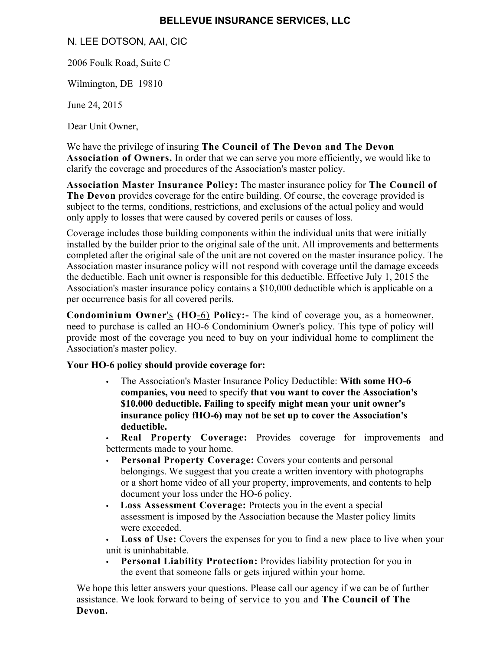# **BELLEVUE INSURANCE SERVICES, LLC**

N. LEE DOTSON, AAI, CIC

2006 Foulk Road, Suite C

Wilmington, DE 19810

June 24, 2015

Dear Unit Owner,

We have the privilege of insuring **The Council of The Devon and The Devon Association of Owners.** In order that we can serve you more efficiently, we would like to clarify the coverage and procedures of the Association's master policy.

**Association Master Insurance Policy:** The master insurance policy for **The Council of The Devon** provides coverage for the entire building. Of course, the coverage provided is subject to the terms, conditions, restrictions, and exclusions of the actual policy and would only apply to losses that were caused by covered perils or causes of loss.

Coverage includes those building components within the individual units that were initially installed by the builder prior to the original sale of the unit. All improvements and betterments completed after the original sale of the unit are not covered on the master insurance policy. The Association master insurance policy will not respond with coverage until the damage exceeds the deductible. Each unit owner is responsible for this deductible. Effective July 1, 2015 the Association's master insurance policy contains a \$10,000 deductible which is applicable on a per occurrence basis for all covered perils.

**Condominium Owner**'s **(HO**-6) **Policy:-** The kind of coverage you, as a homeowner, need to purchase is called an HO-6 Condominium Owner's policy. This type of policy will provide most of the coverage you need to buy on your individual home to compliment the Association's master policy.

# **Your HO-6 policy should provide coverage for:**

**•** The Association's Master Insurance Policy Deductible: **With some HO-6 companies, vou nee**d to specify **that vou want to cover the Association's \$10.000 deductible. Failing to specify might mean your unit owner's insurance policy fHO-6) may not be set up to cover the Association's deductible.**

**• Real Property Coverage:** Provides coverage for improvements and betterments made to your home.

- **• Personal Property Coverage:** Covers your contents and personal belongings. We suggest that you create a written inventory with photographs or a short home video of all your property, improvements, and contents to help document your loss under the HO-6 policy.
- **• Loss Assessment Coverage:** Protects you in the event a special assessment is imposed by the Association because the Master policy limits were exceeded.
- **• Loss of Use:** Covers the expenses for you to find a new place to live when your unit is uninhabitable.
- **• Personal Liability Protection:** Provides liability protection for you in the event that someone falls or gets injured within your home.

We hope this letter answers your questions. Please call our agency if we can be of further assistance. We look forward to being of service to you and **The Council of The Devon.**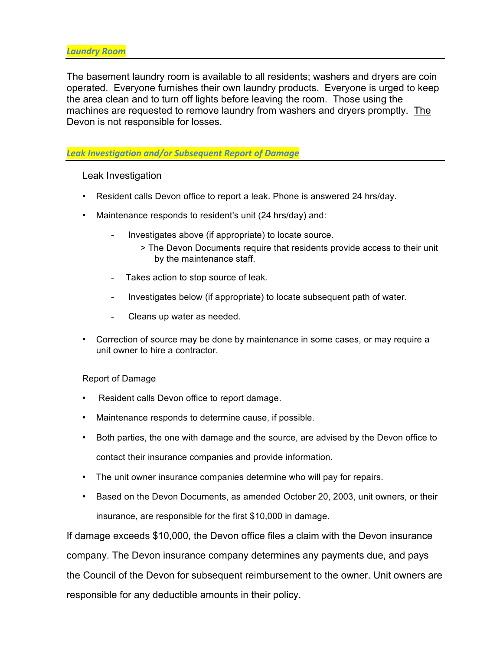The basement laundry room is available to all residents; washers and dryers are coin operated. Everyone furnishes their own laundry products. Everyone is urged to keep the area clean and to turn off lights before leaving the room. Those using the machines are requested to remove laundry from washers and dryers promptly. The Devon is not responsible for losses.

# Leak Investigation and/or Subsequent Report of Damage

Leak Investigation

- Resident calls Devon office to report a leak. Phone is answered 24 hrs/day.
- Maintenance responds to resident's unit (24 hrs/day) and:
	- Investigates above (if appropriate) to locate source.
		- > The Devon Documents require that residents provide access to their unit by the maintenance staff.
	- Takes action to stop source of leak.
	- Investigates below (if appropriate) to locate subsequent path of water.
	- Cleans up water as needed.
- Correction of source may be done by maintenance in some cases, or may require a unit owner to hire a contractor.

# Report of Damage

- Resident calls Devon office to report damage.
- Maintenance responds to determine cause, if possible.
- Both parties, the one with damage and the source, are advised by the Devon office to contact their insurance companies and provide information.
- The unit owner insurance companies determine who will pay for repairs.
- Based on the Devon Documents, as amended October 20, 2003, unit owners, or their insurance, are responsible for the first \$10,000 in damage.

If damage exceeds \$10,000, the Devon office files a claim with the Devon insurance company. The Devon insurance company determines any payments due, and pays the Council of the Devon for subsequent reimbursement to the owner. Unit owners are responsible for any deductible amounts in their policy.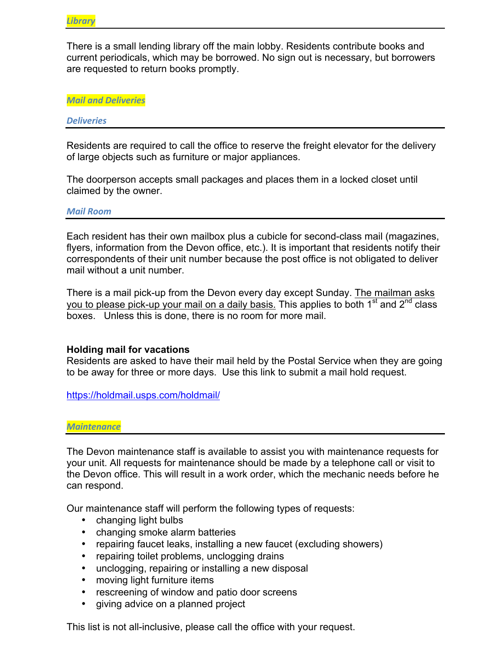There is a small lending library off the main lobby. Residents contribute books and current periodicals, which may be borrowed. No sign out is necessary, but borrowers are requested to return books promptly.

*Mail and Deliveries*

#### *Deliveries*

Residents are required to call the office to reserve the freight elevator for the delivery of large objects such as furniture or major appliances.

The doorperson accepts small packages and places them in a locked closet until claimed by the owner.

#### *Mail Room*

Each resident has their own mailbox plus a cubicle for second-class mail (magazines, flyers, information from the Devon office, etc.). It is important that residents notify their correspondents of their unit number because the post office is not obligated to deliver mail without a unit number.

There is a mail pick-up from the Devon every day except Sunday. The mailman asks you to please pick-up your mail on a daily basis. This applies to both 1<sup>st</sup> and 2<sup>nd</sup> class boxes. Unless this is done, there is no room for more mail.

### **Holding mail for vacations**

Residents are asked to have their mail held by the Postal Service when they are going to be away for three or more days. Use this link to submit a mail hold request.

https://holdmail.usps.com/holdmail/

### *Maintenance*

The Devon maintenance staff is available to assist you with maintenance requests for your unit. All requests for maintenance should be made by a telephone call or visit to the Devon office. This will result in a work order, which the mechanic needs before he can respond.

Our maintenance staff will perform the following types of requests:

- changing light bulbs
- changing smoke alarm batteries
- repairing faucet leaks, installing a new faucet (excluding showers)
- repairing toilet problems, unclogging drains
- unclogging, repairing or installing a new disposal
- moving light furniture items
- rescreening of window and patio door screens
- giving advice on a planned project

This list is not all-inclusive, please call the office with your request.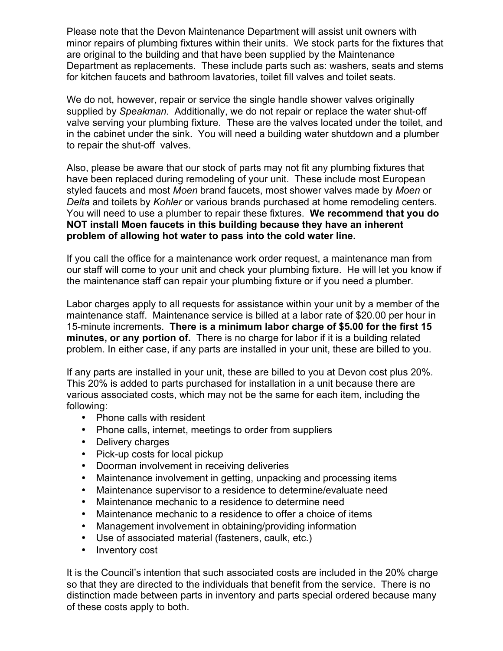Please note that the Devon Maintenance Department will assist unit owners with minor repairs of plumbing fixtures within their units. We stock parts for the fixtures that are original to the building and that have been supplied by the Maintenance Department as replacements. These include parts such as: washers, seats and stems for kitchen faucets and bathroom lavatories, toilet fill valves and toilet seats.

We do not, however, repair or service the single handle shower valves originally supplied by *Speakman.* Additionally, we do not repair or replace the water shut-off valve serving your plumbing fixture. These are the valves located under the toilet, and in the cabinet under the sink. You will need a building water shutdown and a plumber to repair the shut-off valves.

Also, please be aware that our stock of parts may not fit any plumbing fixtures that have been replaced during remodeling of your unit. These include most European styled faucets and most *Moen* brand faucets, most shower valves made by *Moen* or *Delta* and toilets by *Kohler* or various brands purchased at home remodeling centers. You will need to use a plumber to repair these fixtures. **We recommend that you do NOT install Moen faucets in this building because they have an inherent problem of allowing hot water to pass into the cold water line.** 

If you call the office for a maintenance work order request, a maintenance man from our staff will come to your unit and check your plumbing fixture. He will let you know if the maintenance staff can repair your plumbing fixture or if you need a plumber.

Labor charges apply to all requests for assistance within your unit by a member of the maintenance staff. Maintenance service is billed at a labor rate of \$20.00 per hour in 15-minute increments. **There is a minimum labor charge of \$5.00 for the first 15 minutes, or any portion of.** There is no charge for labor if it is a building related problem. In either case, if any parts are installed in your unit, these are billed to you.

If any parts are installed in your unit, these are billed to you at Devon cost plus 20%. This 20% is added to parts purchased for installation in a unit because there are various associated costs, which may not be the same for each item, including the following:

- Phone calls with resident
- Phone calls, internet, meetings to order from suppliers
- Delivery charges
- Pick-up costs for local pickup
- Doorman involvement in receiving deliveries
- Maintenance involvement in getting, unpacking and processing items
- Maintenance supervisor to a residence to determine/evaluate need
- Maintenance mechanic to a residence to determine need
- Maintenance mechanic to a residence to offer a choice of items
- Management involvement in obtaining/providing information
- Use of associated material (fasteners, caulk, etc.)
- Inventory cost

It is the Council's intention that such associated costs are included in the 20% charge so that they are directed to the individuals that benefit from the service. There is no distinction made between parts in inventory and parts special ordered because many of these costs apply to both.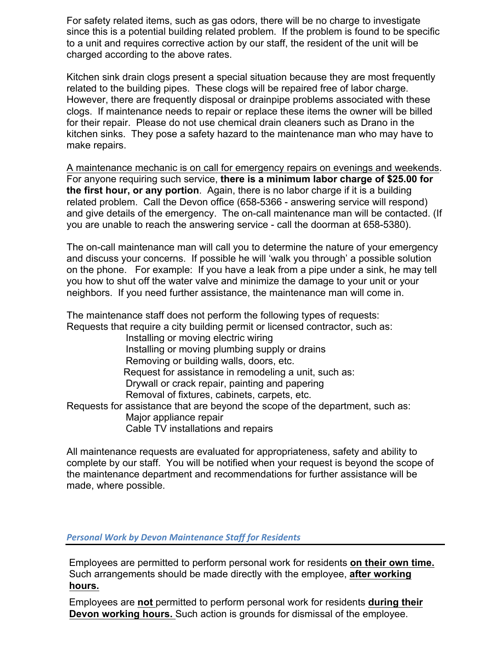For safety related items, such as gas odors, there will be no charge to investigate since this is a potential building related problem. If the problem is found to be specific to a unit and requires corrective action by our staff, the resident of the unit will be charged according to the above rates.

Kitchen sink drain clogs present a special situation because they are most frequently related to the building pipes. These clogs will be repaired free of labor charge. However, there are frequently disposal or drainpipe problems associated with these clogs. If maintenance needs to repair or replace these items the owner will be billed for their repair. Please do not use chemical drain cleaners such as Drano in the kitchen sinks. They pose a safety hazard to the maintenance man who may have to make repairs.

A maintenance mechanic is on call for emergency repairs on evenings and weekends. For anyone requiring such service, **there is a minimum labor charge of \$25.00 for the first hour, or any portion**. Again, there is no labor charge if it is a building related problem. Call the Devon office (658-5366 - answering service will respond) and give details of the emergency. The on-call maintenance man will be contacted. (If you are unable to reach the answering service - call the doorman at 658-5380).

The on-call maintenance man will call you to determine the nature of your emergency and discuss your concerns. If possible he will 'walk you through' a possible solution on the phone. For example: If you have a leak from a pipe under a sink, he may tell you how to shut off the water valve and minimize the damage to your unit or your neighbors. If you need further assistance, the maintenance man will come in.

The maintenance staff does not perform the following types of requests: Requests that require a city building permit or licensed contractor, such as:

Installing or moving electric wiring Installing or moving plumbing supply or drains Removing or building walls, doors, etc. Request for assistance in remodeling a unit, such as: Drywall or crack repair, painting and papering Removal of fixtures, cabinets, carpets, etc. Requests for assistance that are beyond the scope of the department, such as: Major appliance repair Cable TV installations and repairs

All maintenance requests are evaluated for appropriateness, safety and ability to complete by our staff. You will be notified when your request is beyond the scope of the maintenance department and recommendations for further assistance will be made, where possible.

# **Personal Work by Devon Maintenance Staff for Residents**

Employees are permitted to perform personal work for residents **on their own time.**  Such arrangements should be made directly with the employee, **after working hours.**

Employees are **not** permitted to perform personal work for residents **during their Devon working hours.** Such action is grounds for dismissal of the employee.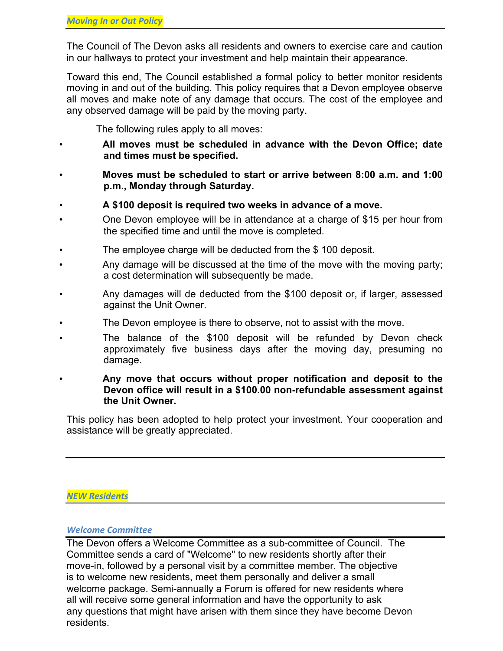The Council of The Devon asks all residents and owners to exercise care and caution in our hallways to protect your investment and help maintain their appearance.

Toward this end, The Council established a formal policy to better monitor residents moving in and out of the building. This policy requires that a Devon employee observe all moves and make note of any damage that occurs. The cost of the employee and any observed damage will be paid by the moving party.

The following rules apply to all moves:

- **All moves must be scheduled in advance with the Devon Office; date and times must be specified.**
- **Moves must be scheduled to start or arrive between 8:00 a.m. and 1:00 p.m., Monday through Saturday.**
- **A \$100 deposit is required two weeks in advance of a move.**
- One Devon employee will be in attendance at a charge of \$15 per hour from the specified time and until the move is completed.
- The employee charge will be deducted from the \$100 deposit.
- Any damage will be discussed at the time of the move with the moving party; a cost determination will subsequently be made.
- Any damages will de deducted from the \$100 deposit or, if larger, assessed against the Unit Owner.
- The Devon employee is there to observe, not to assist with the move.
- The balance of the \$100 deposit will be refunded by Devon check approximately five business days after the moving day, presuming no damage.
- **Any move that occurs without proper notification and deposit to the Devon office will result in a \$100.00 non-refundable assessment against the Unit Owner.**

This policy has been adopted to help protect your investment. Your cooperation and assistance will be greatly appreciated.

# *NEW Residents*

## *Welcome Committee*

The Devon offers a Welcome Committee as a sub-committee of Council. The Committee sends a card of "Welcome" to new residents shortly after their move-in, followed by a personal visit by a committee member. The objective is to welcome new residents, meet them personally and deliver a small welcome package. Semi-annually a Forum is offered for new residents where all will receive some general information and have the opportunity to ask any questions that might have arisen with them since they have become Devon residents.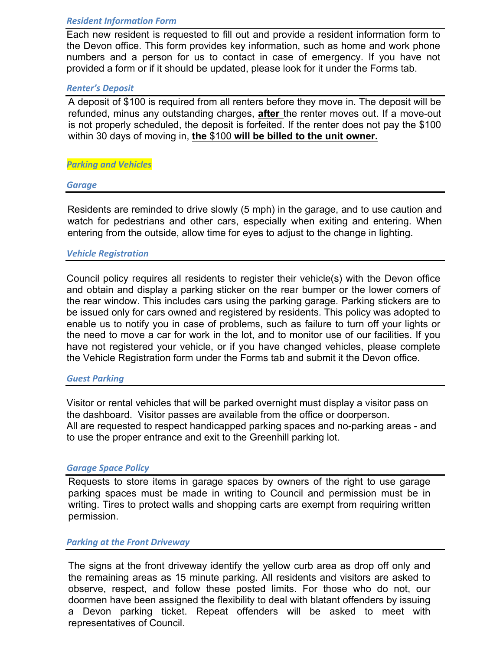# *Resident Information Form*

Each new resident is requested to fill out and provide a resident information form to the Devon office. This form provides key information, such as home and work phone numbers and a person for us to contact in case of emergency. If you have not provided a form or if it should be updated, please look for it under the Forms tab.

# *Renter's Deposit*

A deposit of \$100 is required from all renters before they move in. The deposit will be refunded, minus any outstanding charges, **after** the renter moves out. If a move-out is not properly scheduled, the deposit is forfeited. If the renter does not pay the \$100 within 30 days of moving in, **the** \$100 **will be billed to the unit owner.**

## *Parking and Vehicles*

### *Garage*

Residents are reminded to drive slowly (5 mph) in the garage, and to use caution and watch for pedestrians and other cars, especially when exiting and entering. When entering from the outside, allow time for eyes to adjust to the change in lighting.

## *Vehicle Registration*

Council policy requires all residents to register their vehicle(s) with the Devon office and obtain and display a parking sticker on the rear bumper or the lower comers of the rear window. This includes cars using the parking garage. Parking stickers are to be issued only for cars owned and registered by residents. This policy was adopted to enable us to notify you in case of problems, such as failure to turn off your lights or the need to move a car for work in the lot, and to monitor use of our facilities. If you have not registered your vehicle, or if you have changed vehicles, please complete the Vehicle Registration form under the Forms tab and submit it the Devon office.

### *Guest Parking*

Visitor or rental vehicles that will be parked overnight must display a visitor pass on the dashboard. Visitor passes are available from the office or doorperson. All are requested to respect handicapped parking spaces and no-parking areas - and to use the proper entrance and exit to the Greenhill parking lot.

### *Garage Space Policy*

Requests to store items in garage spaces by owners of the right to use garage parking spaces must be made in writing to Council and permission must be in writing. Tires to protect walls and shopping carts are exempt from requiring written permission.

### **Parking at the Front Driveway**

The signs at the front driveway identify the yellow curb area as drop off only and the remaining areas as 15 minute parking. All residents and visitors are asked to observe, respect, and follow these posted limits. For those who do not, our doormen have been assigned the flexibility to deal with blatant offenders by issuing a Devon parking ticket. Repeat offenders will be asked to meet with representatives of Council.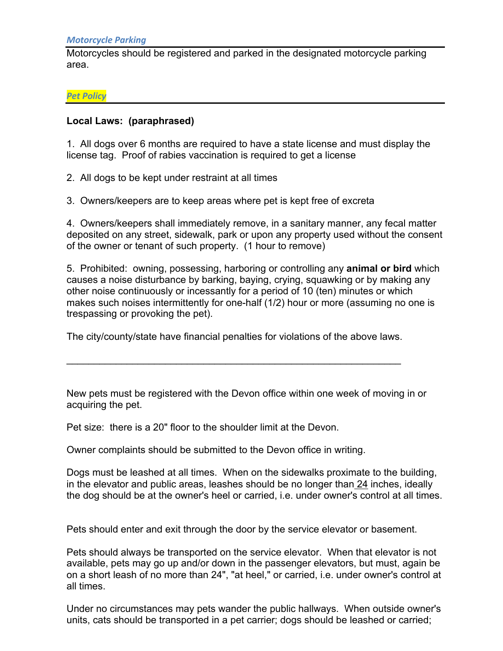Motorcycles should be registered and parked in the designated motorcycle parking area.

*Pet Policy*

# **Local Laws: (paraphrased)**

1. All dogs over 6 months are required to have a state license and must display the license tag. Proof of rabies vaccination is required to get a license

2. All dogs to be kept under restraint at all times

3. Owners/keepers are to keep areas where pet is kept free of excreta

4. Owners/keepers shall immediately remove, in a sanitary manner, any fecal matter deposited on any street, sidewalk, park or upon any property used without the consent of the owner or tenant of such property. (1 hour to remove)

5. Prohibited: owning, possessing, harboring or controlling any **animal or bird** which causes a noise disturbance by barking, baying, crying, squawking or by making any other noise continuously or incessantly for a period of 10 (ten) minutes or which makes such noises intermittently for one-half (1/2) hour or more (assuming no one is trespassing or provoking the pet).

The city/county/state have financial penalties for violations of the above laws.

 $\mathcal{L}_\text{max}$  , and the contract of the contract of the contract of the contract of the contract of the contract of the contract of the contract of the contract of the contract of the contract of the contract of the contr

New pets must be registered with the Devon office within one week of moving in or acquiring the pet.

Pet size: there is a 20" floor to the shoulder limit at the Devon.

Owner complaints should be submitted to the Devon office in writing.

Dogs must be leashed at all times. When on the sidewalks proximate to the building, in the elevator and public areas, leashes should be no longer than 24 inches, ideally the dog should be at the owner's heel or carried, i.e. under owner's control at all times.

Pets should enter and exit through the door by the service elevator or basement.

Pets should always be transported on the service elevator. When that elevator is not available, pets may go up and/or down in the passenger elevators, but must, again be on a short leash of no more than 24", "at heel," or carried, i.e. under owner's control at all times.

Under no circumstances may pets wander the public hallways. When outside owner's units, cats should be transported in a pet carrier; dogs should be leashed or carried;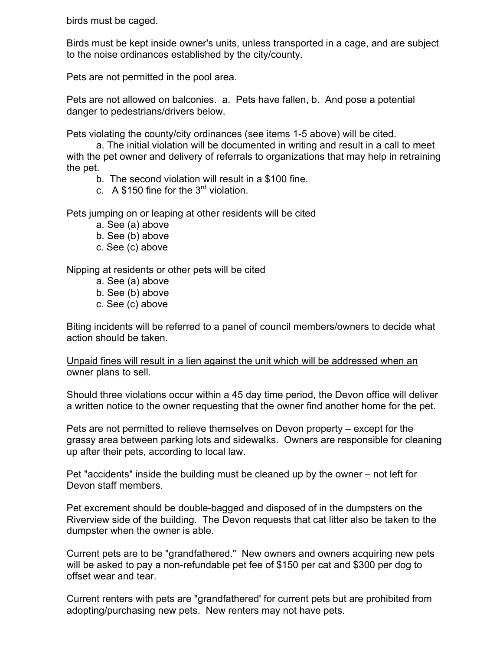birds must be caged.

Birds must be kept inside owner's units, unless transported in a cage, and are subject to the noise ordinances established by the city/county.

Pets are not permitted in the pool area.

Pets are not allowed on balconies. a. Pets have fallen, b. And pose a potential danger to pedestrians/drivers below.

Pets violating the county/city ordinances (see items 1-5 above) will be cited.

a. The initial violation will be documented in writing and result in a call to meet with the pet owner and delivery of referrals to organizations that may help in retraining the pet.

- b. The second violation will result in a \$100 fine.
- c. A \$150 fine for the  $3<sup>rd</sup>$  violation.

Pets jumping on or leaping at other residents will be cited

- a. See (a) above
- b. See (b) above
- c. See (c) above

Nipping at residents or other pets will be cited

- a. See (a) above
- b. See (b) above
- c. See (c) above

Biting incidents will be referred to a panel of council members/owners to decide what action should be taken.

Unpaid fines will result in a lien against the unit which will be addressed when an owner plans to sell.

Should three violations occur within a 45 day time period, the Devon office will deliver a written notice to the owner requesting that the owner find another home for the pet.

Pets are not permitted to relieve themselves on Devon property – except for the grassy area between parking lots and sidewalks. Owners are responsible for cleaning up after their pets, according to local law.

Pet "accidents" inside the building must be cleaned up by the owner – not left for Devon staff members.

Pet excrement should be double-bagged and disposed of in the dumpsters on the Riverview side of the building. The Devon requests that cat litter also be taken to the dumpster when the owner is able.

Current pets are to be "grandfathered." New owners and owners acquiring new pets will be asked to pay a non-refundable pet fee of \$150 per cat and \$300 per dog to offset wear and tear.

Current renters with pets are "grandfathered' for current pets but are prohibited from adopting/purchasing new pets. New renters may not have pets.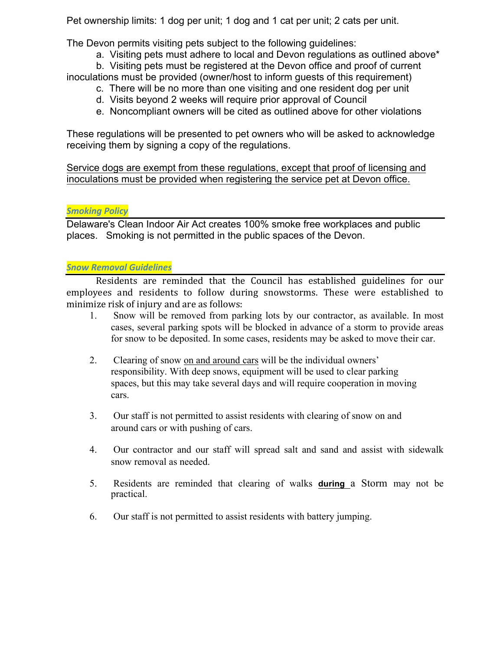Pet ownership limits: 1 dog per unit; 1 dog and 1 cat per unit; 2 cats per unit.

The Devon permits visiting pets subject to the following guidelines:

a. Visiting pets must adhere to local and Devon regulations as outlined above\*

b. Visiting pets must be registered at the Devon office and proof of current inoculations must be provided (owner/host to inform guests of this requirement)

- c. There will be no more than one visiting and one resident dog per unit
- d. Visits beyond 2 weeks will require prior approval of Council
- e. Noncompliant owners will be cited as outlined above for other violations

These regulations will be presented to pet owners who will be asked to acknowledge receiving them by signing a copy of the regulations.

Service dogs are exempt from these regulations, except that proof of licensing and inoculations must be provided when registering the service pet at Devon office.

# **Smoking Policy**

Delaware's Clean Indoor Air Act creates 100% smoke free workplaces and public places. Smoking is not permitted in the public spaces of the Devon.

# *Snow Removal Guidelines*

Residents are reminded that the Council has established guidelines for our employees and residents to follow during snowstorms. These were established to minimize risk of injury and are as follows:

- 1. Snow will be removed from parking lots by our contractor, as available. In most cases, several parking spots will be blocked in advance of a storm to provide areas for snow to be deposited. In some cases, residents may be asked to move their car.
- 2. Clearing of snow on and around cars will be the individual owners' responsibility. With deep snows, equipment will be used to clear parking spaces, but this may take several days and will require cooperation in moving cars.
- 3. Our staff is not permitted to assist residents with clearing of snow on and around cars or with pushing of cars.
- 4. Our contractor and our staff will spread salt and sand and assist with sidewalk snow removal as needed.
- 5. Residents are reminded that clearing of walks **during** a Storm may not be practical.
- 6. Our staff is not permitted to assist residents with battery jumping.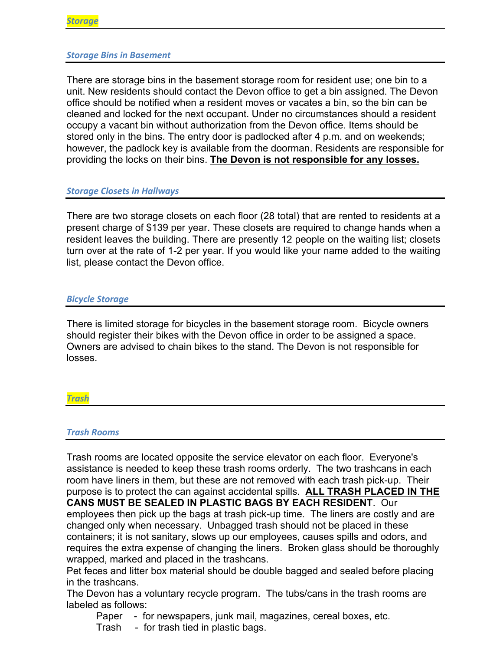## *Storage Bins in Basement*

There are storage bins in the basement storage room for resident use; one bin to a unit. New residents should contact the Devon office to get a bin assigned. The Devon office should be notified when a resident moves or vacates a bin, so the bin can be cleaned and locked for the next occupant. Under no circumstances should a resident occupy a vacant bin without authorization from the Devon office. Items should be stored only in the bins. The entry door is padlocked after 4 p.m. and on weekends; however, the padlock key is available from the doorman. Residents are responsible for providing the locks on their bins. **The Devon is not responsible for any losses.**

## **Storage Closets in Hallways**

There are two storage closets on each floor (28 total) that are rented to residents at a present charge of \$139 per year. These closets are required to change hands when a resident leaves the building. There are presently 12 people on the waiting list; closets turn over at the rate of 1-2 per year. If you would like your name added to the waiting list, please contact the Devon office.

### *Bicycle Storage*

There is limited storage for bicycles in the basement storage room. Bicycle owners should register their bikes with the Devon office in order to be assigned a space. Owners are advised to chain bikes to the stand. The Devon is not responsible for losses.

*Trash*

### *Trash Rooms*

Trash rooms are located opposite the service elevator on each floor. Everyone's assistance is needed to keep these trash rooms orderly. The two trashcans in each room have liners in them, but these are not removed with each trash pick-up. Their purpose is to protect the can against accidental spills. **ALL TRASH PLACED IN THE CANS MUST BE SEALED IN PLASTIC BAGS BY EACH RESIDENT**. Our employees then pick up the bags at trash pick-up time. The liners are costly and are changed only when necessary. Unbagged trash should not be placed in these

containers; it is not sanitary, slows up our employees, causes spills and odors, and requires the extra expense of changing the liners. Broken glass should be thoroughly wrapped, marked and placed in the trashcans.

Pet feces and litter box material should be double bagged and sealed before placing in the trashcans.

The Devon has a voluntary recycle program. The tubs/cans in the trash rooms are labeled as follows:

Paper - for newspapers, junk mail, magazines, cereal boxes, etc.

Trash - for trash tied in plastic bags.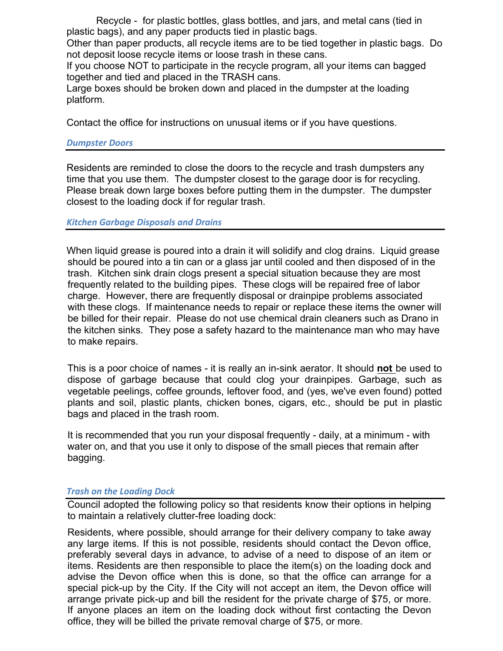Recycle - for plastic bottles, glass bottles, and jars, and metal cans (tied in plastic bags), and any paper products tied in plastic bags.

Other than paper products, all recycle items are to be tied together in plastic bags. Do not deposit loose recycle items or loose trash in these cans.

If you choose NOT to participate in the recycle program, all your items can bagged together and tied and placed in the TRASH cans.

Large boxes should be broken down and placed in the dumpster at the loading platform.

Contact the office for instructions on unusual items or if you have questions.

# *Dumpster Doors*

Residents are reminded to close the doors to the recycle and trash dumpsters any time that you use them. The dumpster closest to the garage door is for recycling. Please break down large boxes before putting them in the dumpster. The dumpster closest to the loading dock if for regular trash.

# *Kitchen Garbage Disposals and Drains*

When liquid grease is poured into a drain it will solidify and clog drains. Liquid grease should be poured into a tin can or a glass jar until cooled and then disposed of in the trash. Kitchen sink drain clogs present a special situation because they are most frequently related to the building pipes. These clogs will be repaired free of labor charge. However, there are frequently disposal or drainpipe problems associated with these clogs. If maintenance needs to repair or replace these items the owner will be billed for their repair. Please do not use chemical drain cleaners such as Drano in the kitchen sinks. They pose a safety hazard to the maintenance man who may have to make repairs.

This is a poor choice of names - it is really an in-sink aerator. It should **not** be used to dispose of garbage because that could clog your drainpipes. Garbage, such as vegetable peelings, coffee grounds, leftover food, and (yes, we've even found) potted plants and soil, plastic plants, chicken bones, cigars, etc., should be put in plastic bags and placed in the trash room.

It is recommended that you run your disposal frequently - daily, at a minimum - with water on, and that you use it only to dispose of the small pieces that remain after bagging.

# *Trash on the Loading Dock*

Council adopted the following policy so that residents know their options in helping to maintain a relatively clutter-free loading dock:

Residents, where possible, should arrange for their delivery company to take away any large items. If this is not possible, residents should contact the Devon office, preferably several days in advance, to advise of a need to dispose of an item or items. Residents are then responsible to place the item(s) on the loading dock and advise the Devon office when this is done, so that the office can arrange for a special pick-up by the City. If the City will not accept an item, the Devon office will arrange private pick-up and bill the resident for the private charge of \$75, or more. If anyone places an item on the loading dock without first contacting the Devon office, they will be billed the private removal charge of \$75, or more.